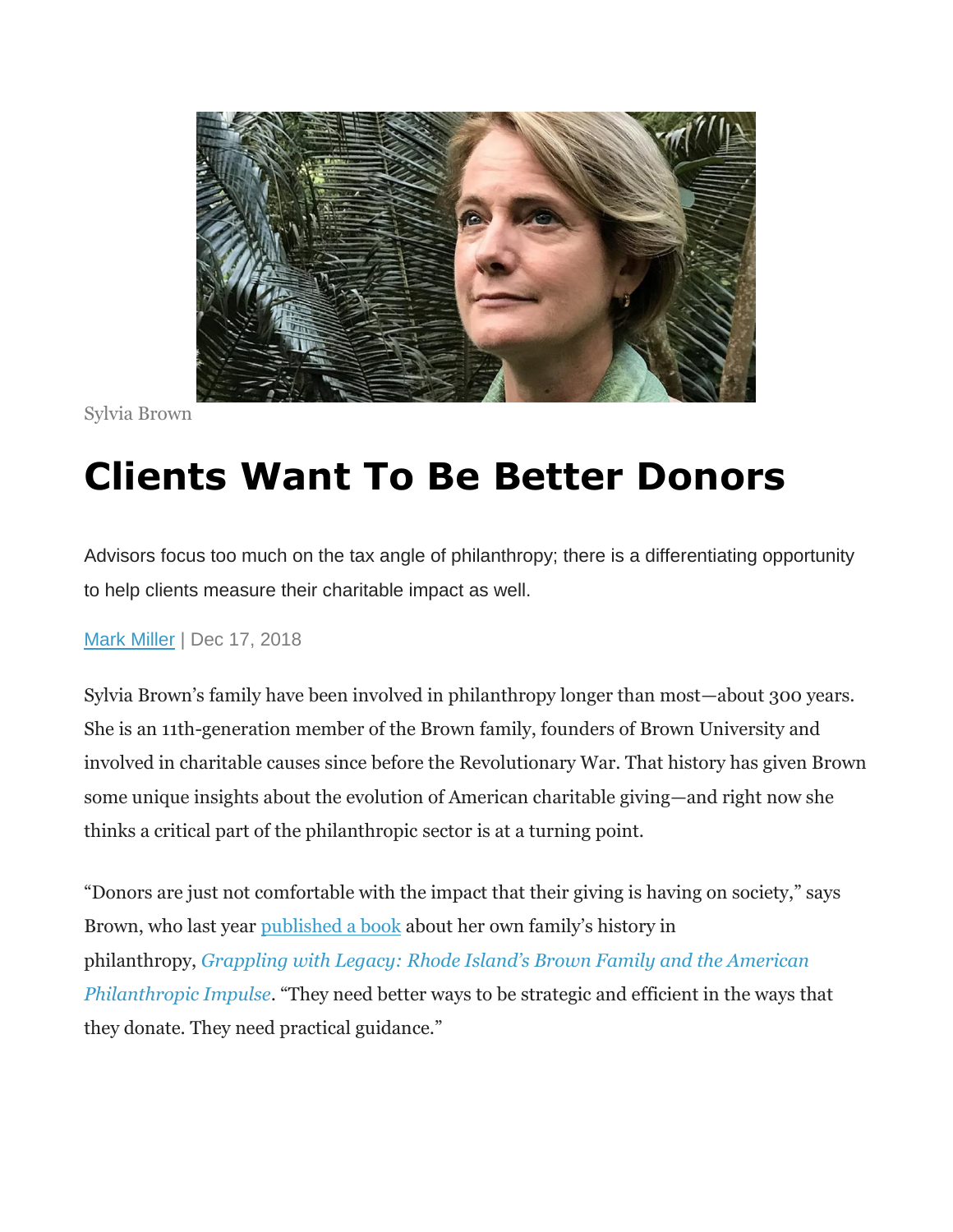

Sylvia Brown

## **Clients Want To Be Better Donors**

Advisors focus too much on the tax angle of philanthropy; there is a differentiating opportunity to help clients measure their charitable impact as well.

[Mark Miller](https://www.wealthmanagement.com/author/Mark-Miller) | Dec 17, 2018

Sylvia Brown's family have been involved in philanthropy longer than most—about 300 years. She is an 11th-generation member of the Brown family, founders of Brown University and involved in charitable causes since before the Revolutionary War. That history has given Brown some unique insights about the evolution of American charitable giving—and right now she thinks a critical part of the philanthropic sector is at a turning point.

"Donors are just not comfortable with the impact that their giving is having on society," says Brown, who last year [published a book](https://www.sylviabrownsmartdonors.com/book) about her own family's history in philanthropy, *[Grappling with Legacy: Rhode Island's Brown Family and the American](https://www.amazon.com/Grappling-Legacy-Islands-American-Philanthropic/dp/1480844179/ref=sr_1_2?ie=UTF8&qid=1544816661&sr=8-2&keywords=grappling+with+history) [Philanthropic Impulse](https://www.amazon.com/Grappling-Legacy-Islands-American-Philanthropic/dp/1480844179/ref=sr_1_2?ie=UTF8&qid=1544816661&sr=8-2&keywords=grappling+with+history)*. "They need better ways to be strategic and efficient in the ways that they donate. They need practical guidance."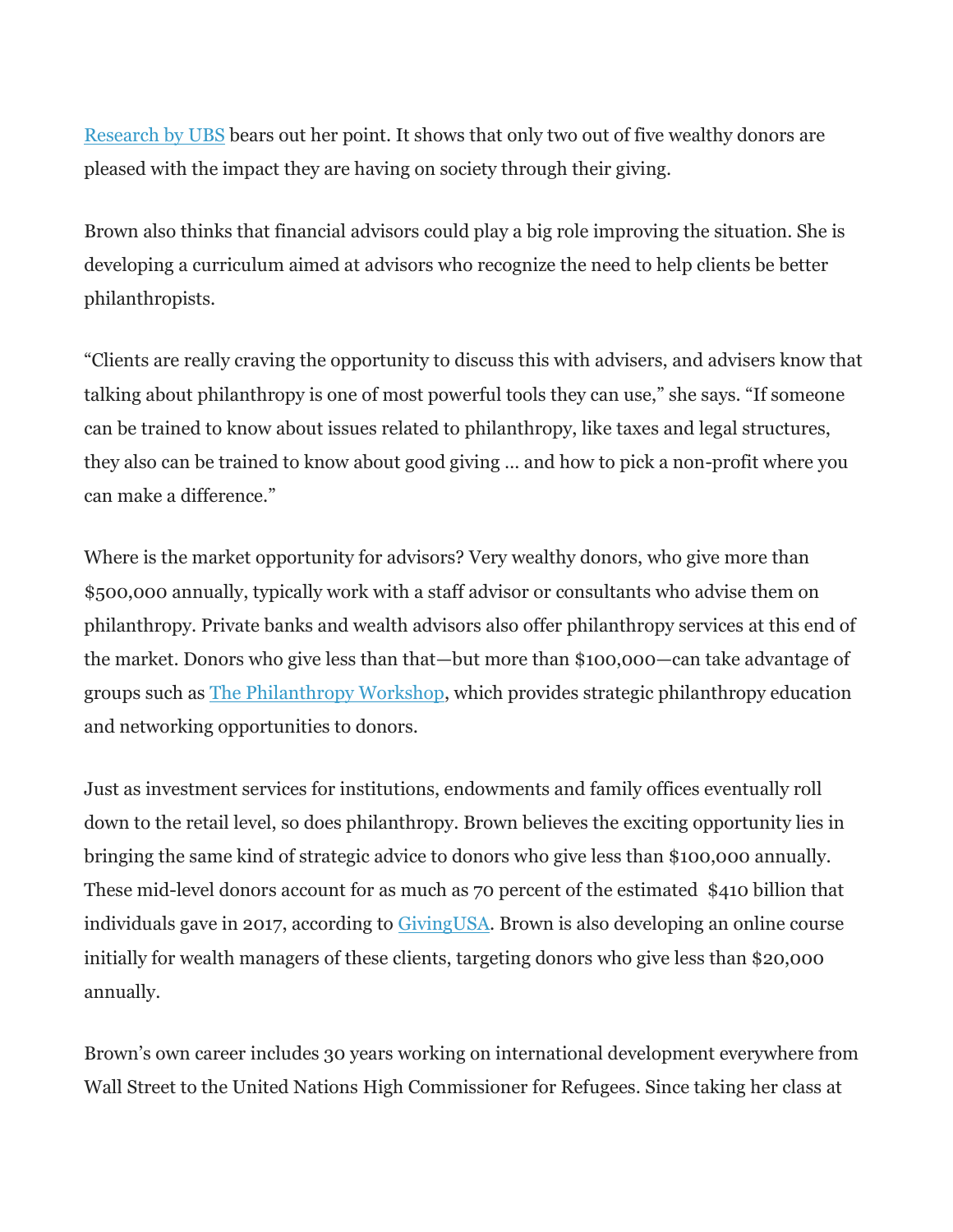[Research by UBS](https://www.ubs.com/us/en/investor-watch/2018/giving-smarter.html) bears out her point. It shows that only two out of five wealthy donors are pleased with the impact they are having on society through their giving.

Brown also thinks that financial advisors could play a big role improving the situation. She is developing a curriculum aimed at advisors who recognize the need to help clients be better philanthropists.

"Clients are really craving the opportunity to discuss this with advisers, and advisers know that talking about philanthropy is one of most powerful tools they can use," she says. "If someone can be trained to know about issues related to philanthropy, like taxes and legal structures, they also can be trained to know about good giving … and how to pick a non-profit where you can make a difference."

Where is the market opportunity for advisors? Very wealthy donors, who give more than \$500,000 annually, typically work with a staff advisor or consultants who advise them on philanthropy. Private banks and wealth advisors also offer philanthropy services at this end of the market. Donors who give less than that—but more than \$100,000—can take advantage of groups such as [The Philanthropy Workshop,](https://www.tpw.org/) which provides strategic philanthropy education and networking opportunities to donors.

Just as investment services for institutions, endowments and family offices eventually roll down to the retail level, so does philanthropy. Brown believes the exciting opportunity lies in bringing the same kind of strategic advice to donors who give less than \$100,000 annually. These mid-level donors account for as much as 70 percent of the estimated \$410 billion that individuals gave in 2017, according to [GivingUSA.](https://givingusa.org/) Brown is also developing an online course initially for wealth managers of these clients, targeting donors who give less than \$20,000 annually.

Brown's own career includes 30 years working on international development everywhere from Wall Street to the United Nations High Commissioner for Refugees. Since taking her class at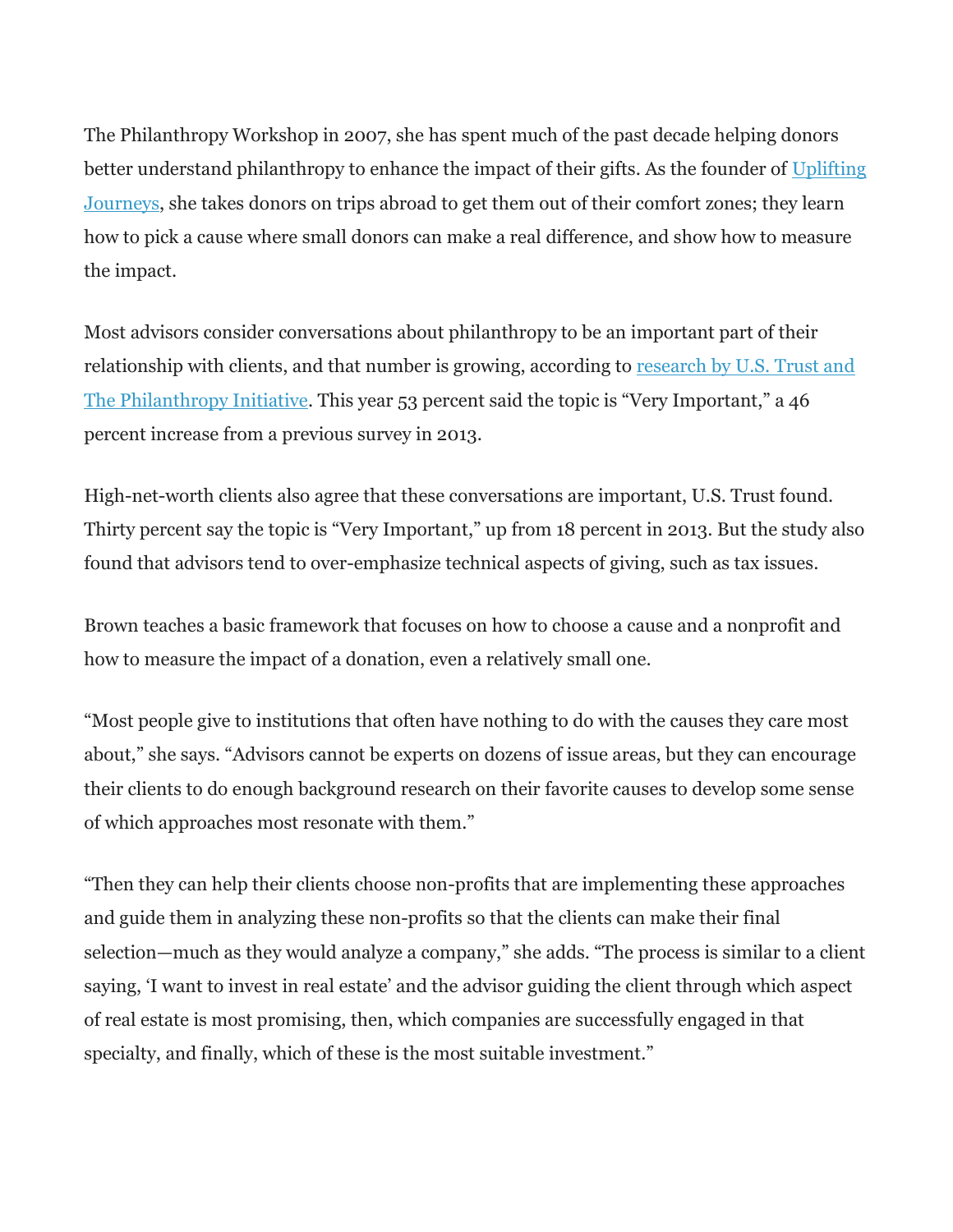The Philanthropy Workshop in 2007, she has spent much of the past decade helping donors better understand philanthropy to enhance the impact of their gifts. As the founder of [Uplifting](http://www.upliftingjourneys.com/)  [Journeys,](http://www.upliftingjourneys.com/) she takes donors on trips abroad to get them out of their comfort zones; they learn how to pick a cause where small donors can make a real difference, and show how to measure the impact.

Most advisors consider conversations about philanthropy to be an important part of their relationship with clients, and that number is growing, according to research by U.S. Trust and [The Philanthropy Initiative](https://www.ustrust.com/articles/the-us-trust-study-of-the-philanthropic-conversation.html). This year 53 percent said the topic is "Very Important," a 46 percent increase from a previous survey in 2013.

High-net-worth clients also agree that these conversations are important, U.S. Trust found. Thirty percent say the topic is "Very Important," up from 18 percent in 2013. But the study also found that advisors tend to over-emphasize technical aspects of giving, such as tax issues.

Brown teaches a basic framework that focuses on how to choose a cause and a nonprofit and how to measure the impact of a donation, even a relatively small one.

"Most people give to institutions that often have nothing to do with the causes they care most about," she says. "Advisors cannot be experts on dozens of issue areas, but they can encourage their clients to do enough background research on their favorite causes to develop some sense of which approaches most resonate with them."

"Then they can help their clients choose non-profits that are implementing these approaches and guide them in analyzing these non-profits so that the clients can make their final selection—much as they would analyze a company," she adds. "The process is similar to a client saying, 'I want to invest in real estate' and the advisor guiding the client through which aspect of real estate is most promising, then, which companies are successfully engaged in that specialty, and finally, which of these is the most suitable investment."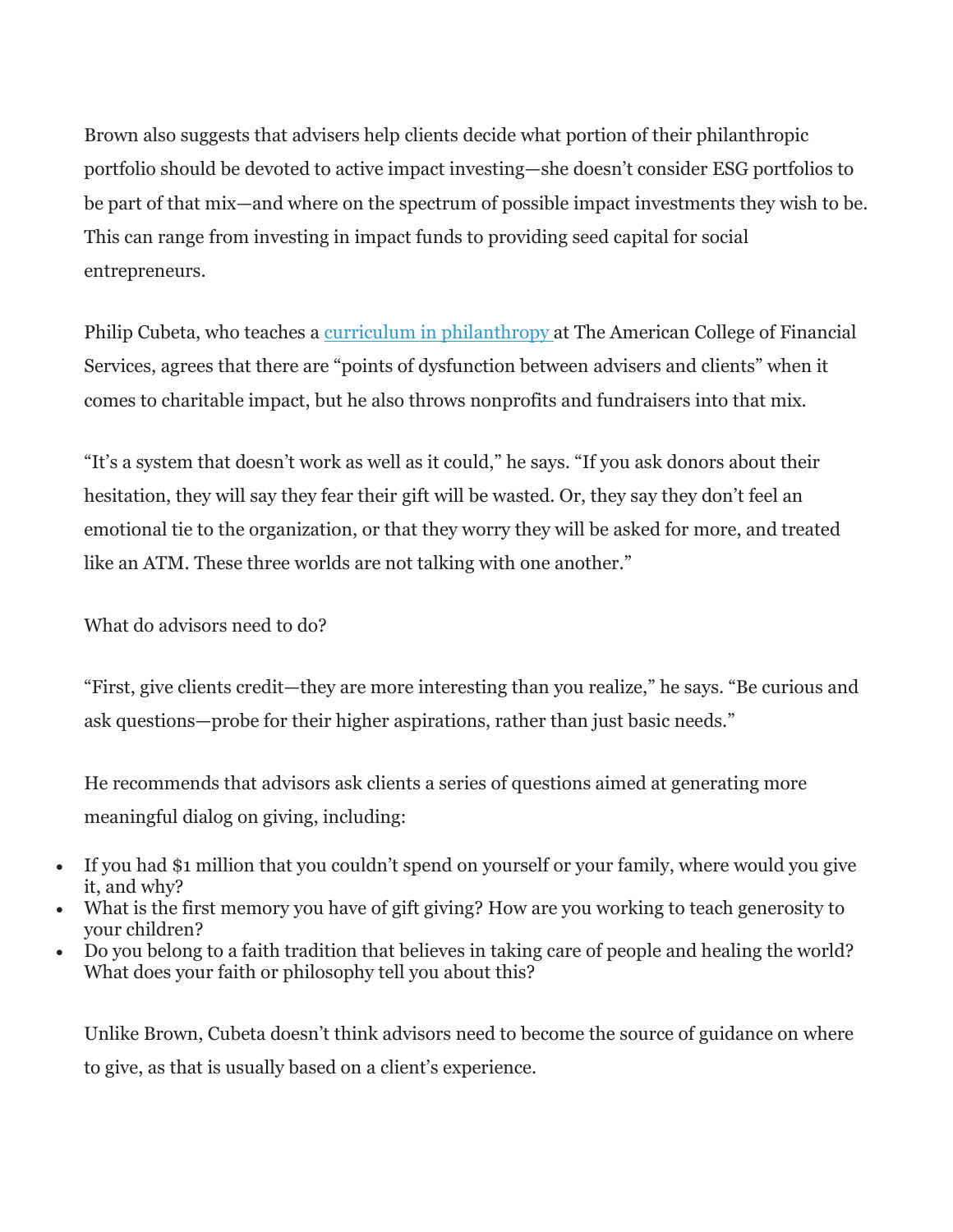Brown also suggests that advisers help clients decide what portion of their philanthropic portfolio should be devoted to active impact investing—she doesn't consider ESG portfolios to be part of that mix—and where on the spectrum of possible impact investments they wish to be. This can range from investing in impact funds to providing seed capital for social entrepreneurs.

Philip Cubeta, who teaches a [curriculum in philanthropy](https://www.theamericancollege.edu/our-people/faculty/philip-cubeta) at The American College of Financial Services, agrees that there are "points of dysfunction between advisers and clients" when it comes to charitable impact, but he also throws nonprofits and fundraisers into that mix.

"It's a system that doesn't work as well as it could," he says. "If you ask donors about their hesitation, they will say they fear their gift will be wasted. Or, they say they don't feel an emotional tie to the organization, or that they worry they will be asked for more, and treated like an ATM. These three worlds are not talking with one another."

What do advisors need to do?

"First, give clients credit—they are more interesting than you realize," he says. "Be curious and ask questions—probe for their higher aspirations, rather than just basic needs."

He recommends that advisors ask clients a series of questions aimed at generating more meaningful dialog on giving, including:

- If you had \$1 million that you couldn't spend on yourself or your family, where would you give it, and why?
- What is the first memory you have of gift giving? How are you working to teach generosity to your children?
- Do you belong to a faith tradition that believes in taking care of people and healing the world? What does your faith or philosophy tell you about this?

Unlike Brown, Cubeta doesn't think advisors need to become the source of guidance on where to give, as that is usually based on a client's experience.